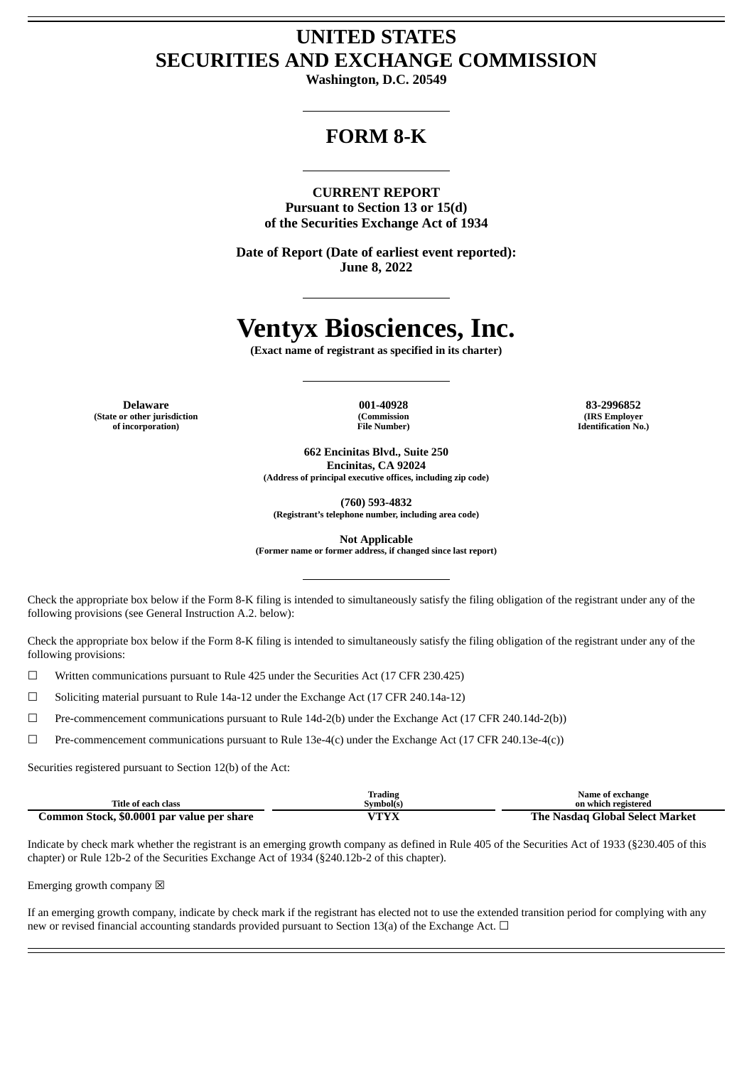## **UNITED STATES SECURITIES AND EXCHANGE COMMISSION**

**Washington, D.C. 20549**

## **FORM 8-K**

**CURRENT REPORT Pursuant to Section 13 or 15(d) of the Securities Exchange Act of 1934**

**Date of Report (Date of earliest event reported): June 8, 2022**

# **Ventyx Biosciences, Inc.**

**(Exact name of registrant as specified in its charter)**

**(State or other jurisdiction of incorporation)**

**(Commission File Number)**

**Delaware 001-40928 83-2996852 (IRS Employer Identification No.)**

> **662 Encinitas Blvd., Suite 250 Encinitas, CA 92024 (Address of principal executive offices, including zip code)**

> > **(760) 593-4832**

**(Registrant's telephone number, including area code)**

**Not Applicable**

**(Former name or former address, if changed since last report)**

Check the appropriate box below if the Form 8-K filing is intended to simultaneously satisfy the filing obligation of the registrant under any of the following provisions (see General Instruction A.2. below):

Check the appropriate box below if the Form 8-K filing is intended to simultaneously satisfy the filing obligation of the registrant under any of the following provisions:

 $\Box$  Written communications pursuant to Rule 425 under the Securities Act (17 CFR 230.425)

☐ Soliciting material pursuant to Rule 14a-12 under the Exchange Act (17 CFR 240.14a-12)

☐ Pre-commencement communications pursuant to Rule 14d-2(b) under the Exchange Act (17 CFR 240.14d-2(b))

☐ Pre-commencement communications pursuant to Rule 13e-4(c) under the Exchange Act (17 CFR 240.13e-4(c))

Securities registered pursuant to Section 12(b) of the Act:

|                                            | Trading                                      | Name of exchange                |
|--------------------------------------------|----------------------------------------------|---------------------------------|
| Title of each class                        | Symbol(s)                                    | on which registered             |
| Common Stock, \$0.0001 par value per share | $T\mathbf{T} \mathbf{V} \mathbf{V}$<br>1 I A | The Nasdag Global Select Market |

Indicate by check mark whether the registrant is an emerging growth company as defined in Rule 405 of the Securities Act of 1933 (§230.405 of this chapter) or Rule 12b-2 of the Securities Exchange Act of 1934 (§240.12b-2 of this chapter).

Emerging growth company  $\boxtimes$ 

If an emerging growth company, indicate by check mark if the registrant has elected not to use the extended transition period for complying with any new or revised financial accounting standards provided pursuant to Section 13(a) of the Exchange Act.  $\Box$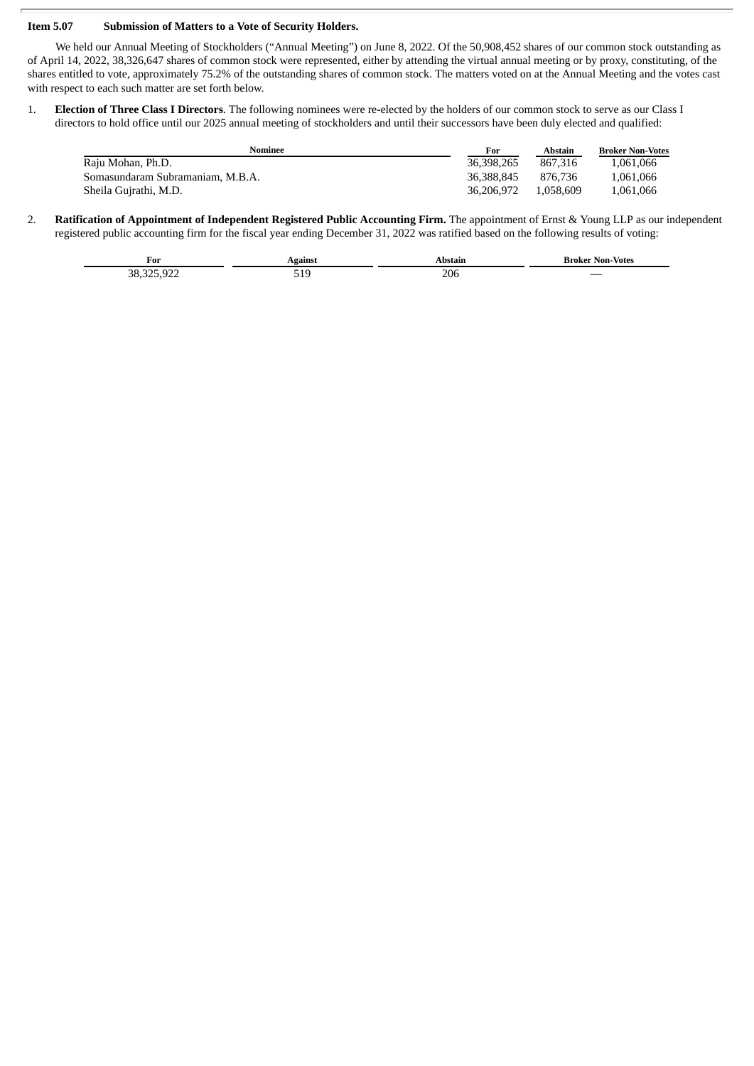#### **Item 5.07 Submission of Matters to a Vote of Security Holders.**

We held our Annual Meeting of Stockholders ("Annual Meeting") on June 8, 2022. Of the 50,908,452 shares of our common stock outstanding as of April 14, 2022, 38,326,647 shares of common stock were represented, either by attending the virtual annual meeting or by proxy, constituting, of the shares entitled to vote, approximately 75.2% of the outstanding shares of common stock. The matters voted on at the Annual Meeting and the votes cast with respect to each such matter are set forth below.

1. **Election of Three Class I Directors**. The following nominees were re-elected by the holders of our common stock to serve as our Class I directors to hold office until our 2025 annual meeting of stockholders and until their successors have been duly elected and qualified:

| Nominee                          | For        | Abstain   | <b>Broker Non-Votes</b> |
|----------------------------------|------------|-----------|-------------------------|
| Raju Mohan, Ph.D.                | 36,398,265 | 867.316   | 1,061,066               |
| Somasundaram Subramaniam, M.B.A. | 36,388,845 | 876.736   | 1,061,066               |
| Sheila Gujrathi, M.D.            | 36,206,972 | 1.058.609 | 1.061.066               |

2. **Ratification of Appointment of Independent Registered Public Accounting Firm.** The appointment of Ernst & Young LLP as our independent registered public accounting firm for the fiscal year ending December 31, 2022 was ratified based on the following results of voting:

| For       |     |     | <b>Votes</b><br>Non-<br>Broker<br>the control of the control of |
|-----------|-----|-----|-----------------------------------------------------------------|
| הי<br>--- | ノエン | 206 | $\overline{\phantom{a}}$                                        |